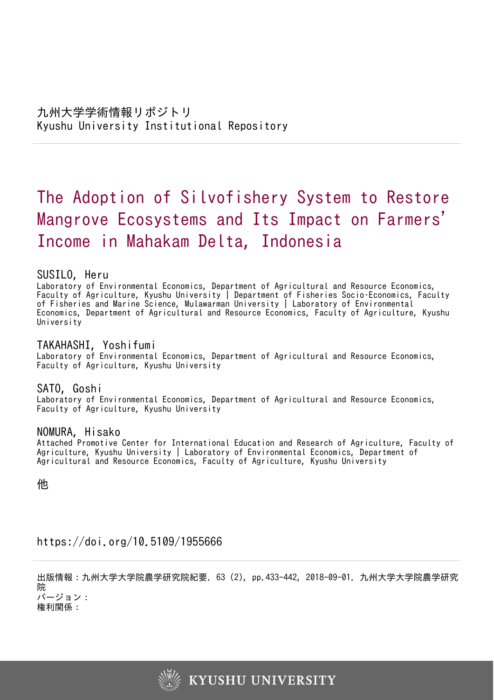# The Adoption of Silvofishery System to Restore Mangrove Ecosystems and Its Impact on Farmers ' Income in Mahakam Delta, Indonesia

## SUSILO, Heru

Laboratory of Environmental Economics, Department of Agricultural and Resource Economics, Faculty of Agriculture, Kyushu University | Department of Fisheries Socio–Economics, Faculty of Fisheries and Marine Science, Mulawarman University | Laboratory of Environmental Economics, Department of Agricultural and Resource Economics, Faculty of Agriculture, Kyushu University

# TAKAHASHI, Yoshifumi

Laboratory of Environmental Economics, Department of Agricultural and Resource Economics, Faculty of Agriculture, Kyushu University

## SATO, Goshi

Laboratory of Environmental Economics, Department of Agricultural and Resource Economics, Faculty of Agriculture, Kyushu University

## NOMURA, Hisako

Attached Promotive Center for International Education and Research of Agriculture, Faculty of Agriculture, Kyushu University | Laboratory of Environmental Economics, Department of Agricultural and Resource Economics, Faculty of Agriculture, Kyushu University

他

https://doi.org/10.5109/1955666

出版情報:九州大学大学院農学研究院紀要. 63 (2), pp.433-442, 2018-09-01. 九州大学大学院農学研究 院 バージョン:

権利関係:

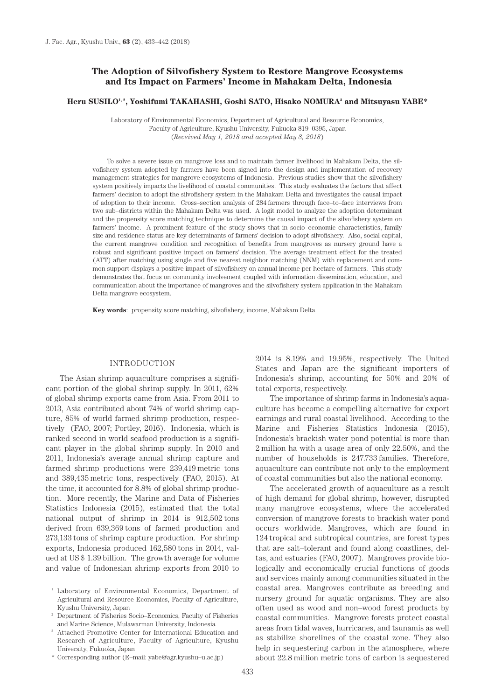## **The Adoption of Silvofishery System to Restore Mangrove Ecosystems and Its Impact on Farmers' Income in Mahakam Delta, Indonesia**

#### **Heru SUSILO1, 2, Yoshifumi TAKAHASHI, Goshi SATO, Hisako NOMURA3 and Mitsuyasu YABE\***

Laboratory of Environmental Economics, Department of Agricultural and Resource Economics, Faculty of Agriculture, Kyushu University, Fukuoka 819–0395, Japan (*Received May 1, 2018 and accepted May 8, 2018*)

To solve a severe issue on mangrove loss and to maintain farmer livelihood in Mahakam Delta, the silvofishery system adopted by farmers have been signed into the design and implementation of recovery management strategies for mangrove ecosystems of Indonesia. Previous studies show that the silvofishery system positively impacts the livelihood of coastal communities. This study evaluates the factors that affect farmers' decision to adopt the silvofishery system in the Mahakam Delta and investigates the causal impact of adoption to their income. Cross–section analysis of 284 farmers through face–to–face interviews from two sub–districts within the Mahakam Delta was used. A logit model to analyze the adoption determinant and the propensity score matching technique to determine the causal impact of the silvofishery system on farmers' income. A prominent feature of the study shows that in socio–economic characteristics, family size and residence status are key determinants of farmers' decision to adopt silvofishery. Also, social capital, the current mangrove condition and recognition of benefits from mangroves as nursery ground have a robust and significant positive impact on farmers' decision. The average treatment effect for the treated (ATT) after matching using single and five nearest neighbor matching (NNM) with replacement and common support displays a positive impact of silvofishery on annual income per hectare of farmers. This study demonstrates that focus on community involvement coupled with information dissemination, education, and communication about the importance of mangroves and the silvofishery system application in the Mahakam Delta mangrove ecosystem.

**Key words**: propensity score matching, silvofishery, income, Mahakam Delta

#### INTRODUCTION

The Asian shrimp aquaculture comprises a significant portion of the global shrimp supply. In 2011, 62% of global shrimp exports came from Asia. From 2011 to 2013, Asia contributed about 74% of world shrimp capture, 85% of world farmed shrimp production, respectively (FAO, 2007; Portley, 2016). Indonesia, which is ranked second in world seafood production is a significant player in the global shrimp supply. In 2010 and 2011, Indonesia's average annual shrimp capture and farmed shrimp productions were 239,419 metric tons and 389,435 metric tons, respectively (FAO, 2015). At the time, it accounted for 8.8% of global shrimp production. More recently, the Marine and Data of Fisheries Statistics Indonesia (2015), estimated that the total national output of shrimp in 2014 is 912,502 tons derived from 639,369 tons of farmed production and 273,133 tons of shrimp capture production. For shrimp exports, Indonesia produced 162,580 tons in 2014, valued at US \$ 1.39 billion. The growth average for volume and value of Indonesian shrimp exports from 2010 to

\* Corresponding author (E–mail: yabe@agr.kyushu–u.ac.jp)

2014 is 8.19% and 19.95%, respectively. The United States and Japan are the significant importers of Indonesia's shrimp, accounting for 50% and 20% of total exports, respectively.

The importance of shrimp farms in Indonesia's aquaculture has become a compelling alternative for export earnings and rural coastal livelihood. According to the Marine and Fisheries Statistics Indonesia (2015), Indonesia's brackish water pond potential is more than 2 million ha with a usage area of only 22.50%, and the number of households is 247.733 families. Therefore, aquaculture can contribute not only to the employment of coastal communities but also the national economy.

The accelerated growth of aquaculture as a result of high demand for global shrimp, however, disrupted many mangrove ecosystems, where the accelerated conversion of mangrove forests to brackish water pond occurs worldwide. Mangroves, which are found in 124 tropical and subtropical countries, are forest types that are salt–tolerant and found along coastlines, deltas, and estuaries (FAO, 2007). Mangroves provide biologically and economically crucial functions of goods and services mainly among communities situated in the coastal area. Mangroves contribute as breeding and nursery ground for aquatic organisms. They are also often used as wood and non–wood forest products by coastal communities. Mangrove forests protect coastal areas from tidal waves, hurricanes, and tsunamis as well as stabilize shorelines of the coastal zone. They also help in sequestering carbon in the atmosphere, where about 22.8 million metric tons of carbon is sequestered

<sup>1</sup> Laboratory of Environmental Economics, Department of Agricultural and Resource Economics, Faculty of Agriculture, Kyushu University, Japan

<sup>2</sup> Department of Fisheries Socio–Economics, Faculty of Fisheries and Marine Science, Mulawarman University, Indonesia

<sup>&</sup>lt;sup>3</sup> Attached Promotive Center for International Education and Research of Agriculture, Faculty of Agriculture, Kyushu University, Fukuoka, Japan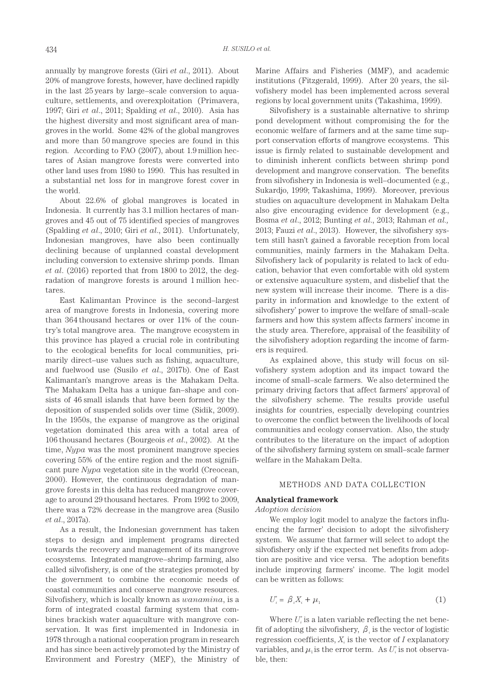annually by mangrove forests (Giri *et al*., 2011). About 20% of mangrove forests, however, have declined rapidly in the last 25 years by large–scale conversion to aquaculture, settlements, and overexploitation (Primavera, 1997; Giri *et al*., 2011; Spalding *et al*., 2010). Asia has the highest diversity and most significant area of mangroves in the world. Some 42% of the global mangroves and more than 50 mangrove species are found in this region. According to FAO (2007), about 1.9 million hectares of Asian mangrove forests were converted into other land uses from 1980 to 1990. This has resulted in a substantial net loss for in mangrove forest cover in the world.

About 22.6% of global mangroves is located in Indonesia. It currently has 3.1 million hectares of mangroves and 45 out of 75 identified species of mangroves (Spalding *et al*., 2010; Giri *et al*., 2011). Unfortunately, Indonesian mangroves, have also been continually declining because of unplanned coastal development including conversion to extensive shrimp ponds. Ilman *et al*. (2016) reported that from 1800 to 2012, the degradation of mangrove forests is around 1 million hectares.

East Kalimantan Province is the second–largest area of mangrove forests in Indonesia, covering more than 364 thousand hectares or over 11% of the country's total mangrove area. The mangrove ecosystem in this province has played a crucial role in contributing to the ecological benefits for local communities, primarily direct–use values such as fishing, aquaculture, and fuelwood use (Susilo *et al*., 2017b). One of East Kalimantan's mangrove areas is the Mahakam Delta. The Mahakam Delta has a unique fan–shape and consists of 46 small islands that have been formed by the deposition of suspended solids over time (Sidik, 2009). In the 1950s, the expanse of mangrove as the original vegetation dominated this area with a total area of 106 thousand hectares (Bourgeois *et al*., 2002). At the time, *Nypa* was the most prominent mangrove species covering 55% of the entire region and the most significant pure *Nypa* vegetation site in the world (Creocean, 2000). However, the continuous degradation of mangrove forests in this delta has reduced mangrove coverage to around 29 thousand hectares. From 1992 to 2009, there was a 72% decrease in the mangrove area (Susilo *et al*., 2017a).

As a result, the Indonesian government has taken steps to design and implement programs directed towards the recovery and management of its mangrove ecosystems. Integrated mangrove–shrimp farming, also called silvofishery, is one of the strategies promoted by the government to combine the economic needs of coastal communities and conserve mangrove resources. Silvofishery, which is locally known as *wanamina*, is a form of integrated coastal farming system that combines brackish water aquaculture with mangrove conservation. It was first implemented in Indonesia in 1978 through a national cooperation program in research and has since been actively promoted by the Ministry of Environment and Forestry (MEF), the Ministry of Marine Affairs and Fisheries (MMF), and academic institutions (Fitzgerald, 1999). After 20 years, the silvofishery model has been implemented across several regions by local government units (Takashima, 1999).

Silvofishery is a sustainable alternative to shrimp pond development without compromising the for the economic welfare of farmers and at the same time support conservation efforts of mangrove ecosystems. This issue is firmly related to sustainable development and to diminish inherent conflicts between shrimp pond development and mangrove conservation. The benefits from silvofishery in Indonesia is well–documented (e.g., Sukardjo, 1999; Takashima, 1999). Moreover, previous studies on aquaculture development in Mahakam Delta also give encouraging evidence for development (e.g., Bosma *et al*., 2012; Bunting *et al*., 2013; Rahman *et al.,* 2013; Fauzi *et al*., 2013). However, the silvofishery system still hasn't gained a favorable reception from local communities, mainly farmers in the Mahakam Delta. Silvofishery lack of popularity is related to lack of education, behavior that even comfortable with old system or extensive aquaculture system, and disbelief that the new system will increase their income. There is a disparity in information and knowledge to the extent of silvofishery' power to improve the welfare of small–scale farmers and how this system affects farmers' income in the study area. Therefore, appraisal of the feasibility of the silvofishery adoption regarding the income of farmers is required.

As explained above, this study will focus on silvofishery system adoption and its impact toward the income of small–scale farmers. We also determined the primary driving factors that affect farmers' approval of the silvofishery scheme. The results provide useful insights for countries, especially developing countries to overcome the conflict between the livelihoods of local communities and ecology conservation. Also, the study contributes to the literature on the impact of adoption of the silvofishery farming system on small–scale farmer welfare in the Mahakam Delta.

#### METHODS AND DATA COLLECTION

#### **Analytical framework**

#### *Adoption decision*

We employ logit model to analyze the factors influencing the farmer' decision to adopt the silvofishery system. We assume that farmer will select to adopt the silvofishery only if the expected net benefits from adoption are positive and vice versa. The adoption benefits include improving farmers' income. The logit model can be written as follows:

$$
U_i^* = \beta_i X_i + \mu_1 \tag{1}
$$

Where  $U_i^*$  is a laten variable reflecting the net benefit of adopting the silvofishery,  $\beta_i$  is the vector of logistic regression coefficients,  $X_i$  is the vector of  $I$  explanatory variables, and  $\mu_i$  is the error term. As  $U_i^*$  is not observable, then: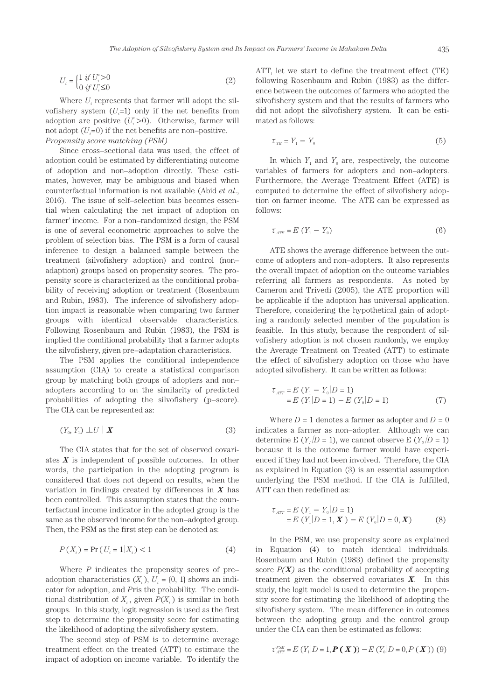$$
U_i = \begin{cases} 1 & \text{if } U_i > 0 \\ 0 & \text{if } U_i \le 0 \end{cases}
$$
 (2)

Where  $U_i$  represents that farmer will adopt the silvofishery system  $(U_i=1)$  only if the net benefits from adoption are positive (*U\* <sup>i</sup>*>0). Otherwise, farmer will not adopt  $(U_i=0)$  if the net benefits are non–positive. *Propensity score matching (PSM)*

Since cross–sectional data was used, the effect of adoption could be estimated by differentiating outcome of adoption and non–adoption directly. These estimates, however, may be ambiguous and biased when counterfactual information is not available (Abid *et al*., 2016). The issue of self–selection bias becomes essential when calculating the net impact of adoption on farmer' income. For a non–randomized design, the PSM is one of several econometric approaches to solve the problem of selection bias. The PSM is a form of causal inference to design a balanced sample between the treatment (silvofishery adoption) and control (non– adaption) groups based on propensity scores. The propensity score is characterized as the conditional probability of receiving adoption or treatment (Rosenbaum and Rubin, 1983). The inference of silvofishery adoption impact is reasonable when comparing two farmer groups with identical observable characteristics. Following Rosenbaum and Rubin (1983), the PSM is implied the conditional probability that a farmer adopts the silvofishery, given pre–adaptation characteristics.

The PSM applies the conditional independence assumption (CIA) to create a statistical comparison group by matching both groups of adopters and non– adopters according to on the similarity of predicted probabilities of adopting the silvofishery (p–score). The CIA can be represented as:

$$
(Y_0, Y_1) \perp U \mid \boldsymbol{X} \tag{3}
$$

The CIA states that for the set of observed covariates *X* is independent of possible outcomes. In other words, the participation in the adopting program is considered that does not depend on results, when the variation in findings created by differences in *X* has been controlled. This assumption states that the counterfactual income indicator in the adopted group is the same as the observed income for the non–adopted group. Then, the PSM as the first step can be denoted as:

$$
P(X_i) = \Pr\left(U_i = 1 | X_i\right) < 1\tag{4}
$$

Where *P* indicates the propensity scores of pre– adoption characteristics  $(X_i)$ ,  $U_i = \{0, 1\}$  shows an indicator for adoption, and *P*ris the probability. The conditional distribution of  $X_i$ , given  $P(X_i)$  is similar in both groups. In this study, logit regression is used as the first step to determine the propensity score for estimating the likelihood of adopting the silvofishery system.

The second step of PSM is to determine average treatment effect on the treated (ATT) to estimate the impact of adoption on income variable. To identify the ATT, let we start to define the treatment effect (TE) following Rosenbaum and Rubin (1983) as the difference between the outcomes of farmers who adopted the silvofishery system and that the results of farmers who did not adopt the silvofishery system. It can be estimated as follows:

$$
\tau_{TE} = Y_1 - Y_0 \tag{5}
$$

In which  $Y_1$  and  $Y_0$  are, respectively, the outcome variables of farmers for adopters and non–adopters. Furthermore, the Average Treatment Effect (ATE) is computed to determine the effect of silvofishery adoption on farmer income. The ATE can be expressed as follows:

$$
\tau_{ATE} = E \left( Y_1 - Y_0 \right) \tag{6}
$$

ATE shows the average difference between the outcome of adopters and non–adopters. It also represents the overall impact of adoption on the outcome variables referring all farmers as respondents. As noted by Cameron and Trivedi (2005), the ATE proportion will be applicable if the adoption has universal application. Therefore, considering the hypothetical gain of adopting a randomly selected member of the population is feasible. In this study, because the respondent of silvofishery adoption is not chosen randomly, we employ the Average Treatment on Treated (ATT) to estimate the effect of silvofishery adoption on those who have adopted silvofishery. It can be written as follows:

$$
\tau_{ATT} = E(Y_1 - Y_0 | D = 1) \n= E(Y_1 | D = 1) - E(Y_0 | D = 1)
$$
\n(7)

Where  $D = 1$  denotes a farmer as adopter and  $D = 0$ indicates a farmer as non–adopter. Although we can determine E ( $Y_1/D = 1$ ), we cannot observe E ( $Y_0/D = 1$ ) because it is the outcome farmer would have experienced if they had not been involved. Therefore, the CIA as explained in Equation (3) is an essential assumption underlying the PSM method. If the CIA is fulfilled, ATT can then redefined as:

$$
\tau_{ATT} = E(Y_1 - Y_0 | D = 1) \n= E(Y_1 | D = 1, \mathbf{X}) - E(Y_0 | D = 0, \mathbf{X})
$$
\n(8)

In the PSM, we use propensity score as explained in Equation (4) to match identical individuals. Rosenbaum and Rubin (1983) defined the propensity score  $P(X)$  as the conditional probability of accepting treatment given the observed covariates *X*. In this study, the logit model is used to determine the propensity score for estimating the likelihood of adopting the silvofishery system. The mean difference in outcomes between the adopting group and the control group under the CIA can then be estimated as follows:

$$
\tau_{AT}^{PSM} = E(Y_1|D = 1, P(X)) - E(Y_0|D = 0, P(X))
$$
 (9)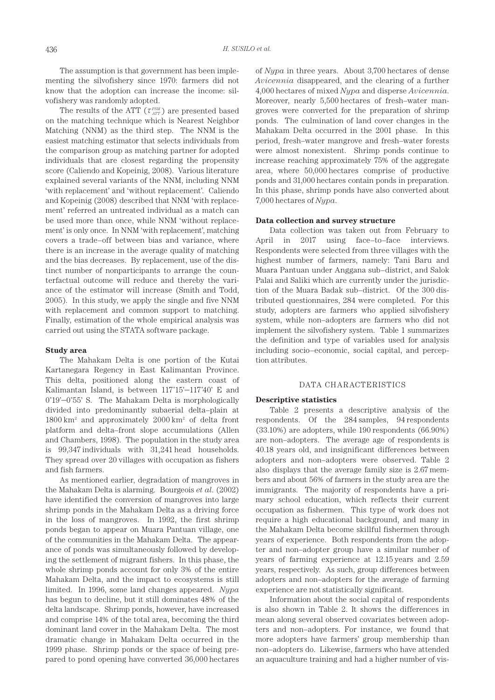The assumption is that government has been implementing the silvofishery since 1970: farmers did not know that the adoption can increase the income: silvofishery was randomly adopted.

The results of the ATT  $(\tau_{ATT}^{PSM})$  are presented based on the matching technique which is Nearest Neighbor Matching (NNM) as the third step. The NNM is the easiest matching estimator that selects individuals from the comparison group as matching partner for adopted individuals that are closest regarding the propensity score (Caliendo and Kopeinig, 2008). Various literature explained several variants of the NNM, including NNM 'with replacement' and 'without replacement'. Caliendo and Kopeinig (2008) described that NNM 'with replacement' referred an untreated individual as a match can be used more than once, while NNM 'without replacement' is only once. In NNM 'with replacement', matching covers a trade–off between bias and variance, where there is an increase in the average quality of matching and the bias decreases. By replacement, use of the distinct number of nonparticipants to arrange the counterfactual outcome will reduce and thereby the variance of the estimator will increase (Smith and Todd, 2005). In this study, we apply the single and five NNM with replacement and common support to matching. Finally, estimation of the whole empirical analysis was carried out using the STATA software package.

#### **Study area**

The Mahakam Delta is one portion of the Kutai Kartanegara Regency in East Kalimantan Province. This delta, positioned along the eastern coast of Kalimantan Island, is between 117˚15'–117˚40' E and 0˚19'–0˚55' S. The Mahakam Delta is morphologically divided into predominantly subaerial delta–plain at 1800 km2 and approximately 2000 km2 of delta front platform and delta–front slope accumulations (Allen and Chambers, 1998). The population in the study area is 99,347 individuals with 31,241 head households. They spread over 20 villages with occupation as fishers and fish farmers.

As mentioned earlier, degradation of mangroves in the Mahakam Delta is alarming. Bourgeois *et al*. (2002) have identified the conversion of mangroves into large shrimp ponds in the Mahakam Delta as a driving force in the loss of mangroves. In 1992, the first shrimp ponds began to appear on Muara Pantuan village, one of the communities in the Mahakam Delta. The appearance of ponds was simultaneously followed by developing the settlement of migrant fishers. In this phase, the whole shrimp ponds account for only 3% of the entire Mahakam Delta, and the impact to ecosystems is still limited. In 1996, some land changes appeared. *Nypa* has begun to decline, but it still dominates 48% of the delta landscape. Shrimp ponds, however, have increased and comprise 14% of the total area, becoming the third dominant land cover in the Mahakam Delta. The most dramatic change in Mahakam Delta occurred in the 1999 phase. Shrimp ponds or the space of being prepared to pond opening have converted 36,000 hectares of *Nypa* in three years. About 3,700 hectares of dense *Avicennia* disappeared, and the clearing of a further 4,000 hectares of mixed *Nypa* and disperse *Avicennia*. Moreover, nearly 5,500 hectares of fresh–water mangroves were converted for the preparation of shrimp ponds. The culmination of land cover changes in the Mahakam Delta occurred in the 2001 phase. In this period, fresh–water mangrove and fresh–water forests were almost nonexistent. Shrimp ponds continue to increase reaching approximately 75% of the aggregate area, where 50,000 hectares comprise of productive ponds and 31,000 hectares contain ponds in preparation. In this phase, shrimp ponds have also converted about 7,000 hectares of *Nypa*.

#### **Data collection and survey structure**

Data collection was taken out from February to April in 2017 using face–to–face interviews. Respondents were selected from three villages with the highest number of farmers, namely: Tani Baru and Muara Pantuan under Anggana sub–district, and Salok Palai and Saliki which are currently under the jurisdiction of the Muara Badak sub–district. Of the 300 distributed questionnaires, 284 were completed. For this study, adopters are farmers who applied silvofishery system, while non–adopters are farmers who did not implement the silvofishery system. Table 1 summarizes the definition and type of variables used for analysis including socio–economic, social capital, and perception attributes.

#### DATA CHARACTERISTICS

#### **Descriptive statistics**

Table 2 presents a descriptive analysis of the respondents. Of the 284 samples, 94 respondents (33.10%) are adopters, while 190 respondents (66.90%) are non–adopters. The average age of respondents is 40.18 years old, and insignificant differences between adopters and non–adopters were observed. Table 2 also displays that the average family size is 2.67 members and about 56% of farmers in the study area are the immigrants. The majority of respondents have a primary school education, which reflects their current occupation as fishermen. This type of work does not require a high educational background, and many in the Mahakam Delta become skillful fishermen through years of experience. Both respondents from the adopter and non–adopter group have a similar number of years of farming experience at 12.15 years and 2.59 years, respectively. As such, group differences between adopters and non–adopters for the average of farming experience are not statistically significant.

Information about the social capital of respondents is also shown in Table 2. It shows the differences in mean along several observed covariates between adopters and non–adopters. For instance, we found that more adopters have farmers' group membership than non–adopters do. Likewise, farmers who have attended an aquaculture training and had a higher number of vis-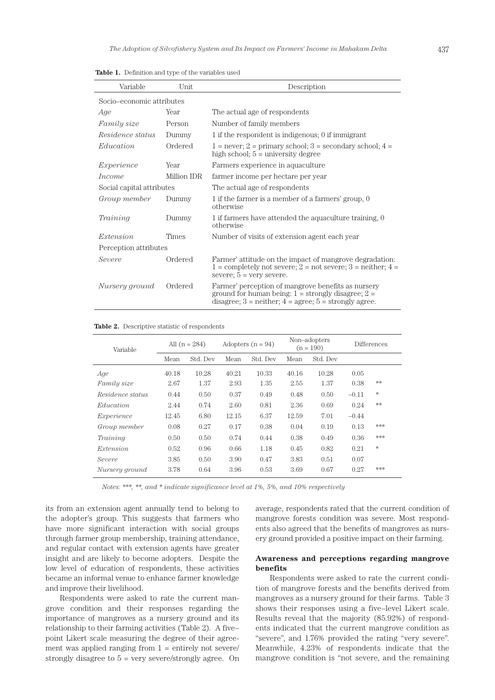| Variable                  | Unit         | Description                                                                                                                                                                 |  |  |  |
|---------------------------|--------------|-----------------------------------------------------------------------------------------------------------------------------------------------------------------------------|--|--|--|
| Socio–economic attributes |              |                                                                                                                                                                             |  |  |  |
| Age                       | Year         | The actual age of respondents                                                                                                                                               |  |  |  |
| <i>Family size</i>        | Person       | Number of family members                                                                                                                                                    |  |  |  |
| Residence status          | Dummy        | 1 if the respondent is indigenous; 0 if immigrant                                                                                                                           |  |  |  |
| Education                 | Ordered      | $1 =$ never; $2 =$ primary school; $3 =$ secondary school; $4 =$<br>high school; $5 =$ university degree                                                                    |  |  |  |
| Experience                | Year         | Farmers experience in aquaculture                                                                                                                                           |  |  |  |
| Income                    | Million IDR  | farmer income per hectare per year                                                                                                                                          |  |  |  |
| Social capital attributes |              | The actual age of respondents                                                                                                                                               |  |  |  |
| Group member              | Dummy        | 1 if the farmer is a member of a farmers' group, 0<br>otherwise                                                                                                             |  |  |  |
| Training                  | Dummy        | 1 if farmers have attended the aquaculture training, 0<br>otherwise                                                                                                         |  |  |  |
| Extension                 | <b>Times</b> | Number of visits of extension agent each year                                                                                                                               |  |  |  |
| Perception attributes     |              |                                                                                                                                                                             |  |  |  |
| Severe                    | Ordered      | Farmer' attitude on the impact of mangrove degradation:<br>$1 =$ completely not severe; $2 =$ not severe; $3 =$ neither; $4 =$<br>severe; $5 = \text{very severe}$ .        |  |  |  |
| Nursery ground            | Ordered      | Farmer' perception of mangrove benefits as nursery<br>ground for human being: $1 =$ strongly disagree; $2 =$<br>disagree; $3$ = neither; $4$ = agree; $5$ = strongly agree. |  |  |  |

**Table 1.** Definition and type of the variables used

**Table 2.** Descriptive statistic of respondents

| Variable         | All $(n = 284)$ |          | Adopters $(n = 94)$ |          | Non-adopters<br>$(n = 190)$ |          | Differences |        |
|------------------|-----------------|----------|---------------------|----------|-----------------------------|----------|-------------|--------|
|                  | Mean            | Std. Dev | Mean                | Std. Dev | Mean                        | Std. Dev |             |        |
| Age              | 40.18           | 10.28    | 40.21               | 10.33    | 40.16                       | 10.28    | 0.05        |        |
| Family size      | 2.67            | 1.37     | 2.93                | 1.35     | 2.55                        | 1.37     | 0.38        | **     |
| Residence status | 0.44            | 0.50     | 0.37                | 0.49     | 0.48                        | 0.50     | $-0.11$     | $\ast$ |
| Education        | 2.44            | 0.74     | 2.60                | 0.81     | 2.36                        | 0.69     | 0.24        | **     |
| Experience       | 12.45           | 6.80     | 12.15               | 6.37     | 12.59                       | 7.01     | $-0.44$     |        |
| Group member     | 0.08            | 0.27     | 0.17                | 0.38     | 0.04                        | 0.19     | 0.13        | ***    |
| Training         | 0.50            | 0.50     | 0.74                | 0.44     | 0.38                        | 0.49     | 0.36        | ***    |
| <i>Extension</i> | 0.52            | 0.96     | 0.66                | 1.18     | 0.45                        | 0.82     | 0.21        | $\ast$ |
| Severe           | 3.85            | 0.50     | 3.90                | 0.47     | 3.83                        | 0.51     | 0.07        |        |
| Nursery ground   | 3.78            | 0.64     | 3.96                | 0.53     | 3.69                        | 0.67     | 0.27        | ***    |

*Notes: \*\*\*, \*\*, and \* indicate significance level at 1%, 5%, and 10% respectively*

its from an extension agent annually tend to belong to the adopter's group. This suggests that farmers who have more significant interaction with social groups through farmer group membership, training attendance, and regular contact with extension agents have greater insight and are likely to become adopters. Despite the low level of education of respondents, these activities became an informal venue to enhance farmer knowledge and improve their livelihood.

Respondents were asked to rate the current mangrove condition and their responses regarding the importance of mangroves as a nursery ground and its relationship to their farming activities (Table 2). A five– point Likert scale measuring the degree of their agreement was applied ranging from  $1 =$  entirely not severe/ strongly disagree to  $5 = \text{very severely}$  severe/strongly agree. On average, respondents rated that the current condition of mangrove forests condition was severe. Most respondents also agreed that the benefits of mangroves as nursery ground provided a positive impact on their farming.

### **Awareness and perceptions regarding mangrove benefits**

Respondents were asked to rate the current condition of mangrove forests and the benefits derived from mangroves as a nursery ground for their farms. Table 3 shows their responses using a five–level Likert scale. Results reveal that the majority (85.92%) of respondents indicated that the current mangrove condition as "severe", and 1.76% provided the rating "very severe". Meanwhile, 4.23% of respondents indicate that the mangrove condition is "not severe, and the remaining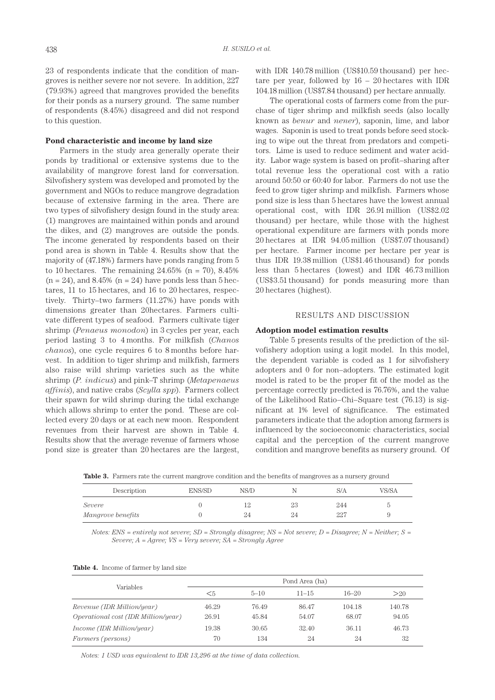23 of respondents indicate that the condition of mangroves is neither severe nor not severe. In addition, 227 (79.93%) agreed that mangroves provided the benefits for their ponds as a nursery ground. The same number of respondents (8.45%) disagreed and did not respond to this question.

#### **Pond characteristic and income by land size**

Farmers in the study area generally operate their ponds by traditional or extensive systems due to the availability of mangrove forest land for conversation. Silvofishery system was developed and promoted by the government and NGOs to reduce mangrove degradation because of extensive farming in the area. There are two types of silvofishery design found in the study area: (1) mangroves are maintained within ponds and around the dikes, and (2) mangroves are outside the ponds. The income generated by respondents based on their pond area is shown in Table 4. Results show that the majority of (47.18%) farmers have ponds ranging from 5 to 10 hectares. The remaining  $24.65\%$  (n = 70),  $8.45\%$  $(n = 24)$ , and 8.45%  $(n = 24)$  have ponds less than 5 hectares, 11 to 15 hectares, and 16 to 20 hectares, respectively. Thirty–two farmers (11.27%) have ponds with dimensions greater than 20hectares. Farmers cultivate different types of seafood. Farmers cultivate tiger shrimp (*Penaeus monodon*) in 3 cycles per year, each period lasting 3 to 4 months. For milkfish (*Chanos chanos*), one cycle requires 6 to 8 months before harvest. In addition to tiger shrimp and milkfish, farmers also raise wild shrimp varieties such as the white shrimp (*P. indicus*) and pink–T shrimp (*Metapenaeus affinis*), and native crabs (*Scylla spp*). Farmers collect their spawn for wild shrimp during the tidal exchange which allows shrimp to enter the pond. These are collected every 20 days or at each new moon. Respondent revenues from their harvest are shown in Table 4. Results show that the average revenue of farmers whose pond size is greater than 20 hectares are the largest,

with IDR 140.78 million (US\$10.59 thousand) per hectare per year, followed by 16 – 20 hectares with IDR 104.18 million (US\$7.84 thousand) per hectare annually.

The operational costs of farmers come from the purchase of tiger shrimp and milkfish seeds (also locally known as *benur* and *nener*), saponin, lime, and labor wages. Saponin is used to treat ponds before seed stocking to wipe out the threat from predators and competitors. Lime is used to reduce sediment and water acidity. Labor wage system is based on profit–sharing after total revenue less the operational cost with a ratio around 50:50 or 60:40 for labor. Farmers do not use the feed to grow tiger shrimp and milkfish. Farmers whose pond size is less than 5 hectares have the lowest annual operational cost, with IDR 26.91 million (US\$2.02 thousand) per hectare, while those with the highest operational expenditure are farmers with ponds more 20 hectares at IDR 94.05 million (US\$7.07 thousand) per hectare. Farmer income per hectare per year is thus IDR 19.38 million (US\$1.46 thousand) for ponds less than 5 hectares (lowest) and IDR 46.73 million (US\$3.51 thousand) for ponds measuring more than 20 hectares (highest).

#### RESULTS AND DISCUSSION

#### **Adoption model estimation results**

Table 5 presents results of the prediction of the silvofishery adoption using a logit model. In this model, the dependent variable is coded as 1 for silvofishery adopters and 0 for non–adopters. The estimated logit model is rated to be the proper fit of the model as the percentage correctly predicted is 76.76%, and the value of the Likelihood Ratio–Chi–Square test (76.13) is significant at 1% level of significance. The estimated parameters indicate that the adoption among farmers is influenced by the socioeconomic characteristics, social capital and the perception of the current mangrove condition and mangrove benefits as nursery ground. Of

Table 3. Farmers rate the current mangrove condition and the benefits of mangroves as a nursery ground

| Description       | ENS/SD | NS/D |    | S/A  | VS/SA |
|-------------------|--------|------|----|------|-------|
| Severe            |        |      | 23 | 244  |       |
| Mangrove benefits |        | 24   | 24 | -227 |       |

*Notes: ENS = entirely not severe; SD = Strongly disagree; NS = Not severe; D = Disagree; N = Neither; S = Severe; A = Agree; VS = Very severe; SA = Strongly Agree*

| Table 4. Income of farmer by land size |
|----------------------------------------|
|----------------------------------------|

|                                            | Pond Area (ha) |          |           |           |        |  |  |
|--------------------------------------------|----------------|----------|-----------|-----------|--------|--|--|
| Variables                                  | <5             | $5 - 10$ | $11 - 15$ | $16 - 20$ | >20    |  |  |
| Revenue (IDR Million/year)                 | 46.29          | 76.49    | 86.47     | 104.18    | 140.78 |  |  |
| <i>Operational cost (IDR Million/year)</i> | 26.91          | 45.84    | 54.07     | 68.07     | 94.05  |  |  |
| Income (IDR Million/year)                  | 19.38          | 30.65    | 32.40     | 36.11     | 46.73  |  |  |
| Farmers (persons)                          | 70             | 134      | 24        | 24        | 32     |  |  |

*Notes: 1 USD was equivalent to IDR 13,296 at the time of data collection.*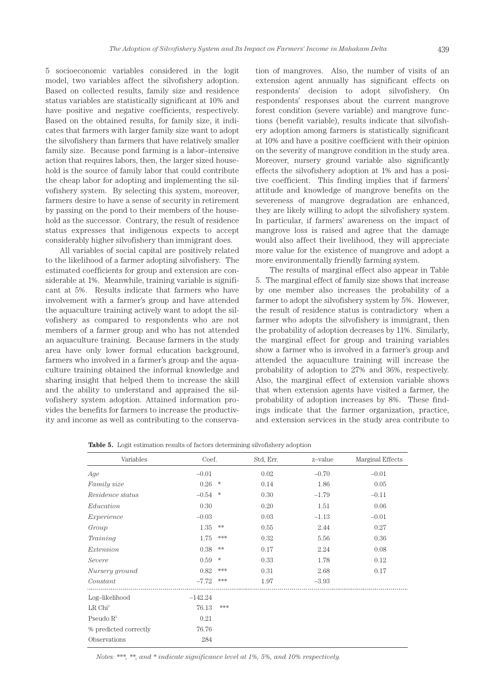5 socioeconomic variables considered in the logit model, two variables affect the silvofishery adoption. Based on collected results, family size and residence status variables are statistically significant at 10% and have positive and negative coefficients, respectively. Based on the obtained results, for family size, it indicates that farmers with larger family size want to adopt the silvofishery than farmers that have relatively smaller family size. Because pond farming is a labor–intensive action that requires labors, then, the larger sized household is the source of family labor that could contribute the cheap labor for adopting and implementing the silvofishery system. By selecting this system, moreover, farmers desire to have a sense of security in retirement by passing on the pond to their members of the household as the successor. Contrary, the result of residence status expresses that indigenous expects to accept considerably higher silvofishery than immigrant does.

All variables of social capital are positively related to the likelihood of a farmer adopting silvofishery. The estimated coefficients for group and extension are considerable at 1%. Meanwhile, training variable is significant at 5%. Results indicate that farmers who have involvement with a farmer's group and have attended the aquaculture training actively want to adopt the silvofishery as compared to respondents who are not members of a farmer group and who has not attended an aquaculture training. Because farmers in the study area have only lower formal education background, farmers who involved in a farmer's group and the aquaculture training obtained the informal knowledge and sharing insight that helped them to increase the skill and the ability to understand and appraised the silvofishery system adoption. Attained information provides the benefits for farmers to increase the productivity and income as well as contributing to the conservation of mangroves. Also, the number of visits of an extension agent annually has significant effects on respondents' decision to adopt silvofishery. On respondents' responses about the current mangrove forest condition (severe variable) and mangrove functions (benefit variable), results indicate that silvofishery adoption among farmers is statistically significant at 10% and have a positive coefficient with their opinion on the severity of mangrove condition in the study area. Moreover, nursery ground variable also significantly effects the silvofishery adoption at 1% and has a positive coefficient. This finding implies that if farmers' attitude and knowledge of mangrove benefits on the severeness of mangrove degradation are enhanced, they are likely willing to adopt the silvofishery system. In particular, if farmers' awareness on the impact of mangrove loss is raised and agree that the damage would also affect their livelihood, they will appreciate more value for the existence of mangrove and adopt a more environmentally friendly farming system.

The results of marginal effect also appear in Table 5. The marginal effect of family size shows that increase by one member also increases the probability of a farmer to adopt the silvofishery system by 5%. However, the result of residence status is contradictory when a farmer who adopts the silvofishery is immigrant, then the probability of adoption decreases by 11%. Similarly, the marginal effect for group and training variables show a farmer who is involved in a farmer's group and attended the aquaculture training will increase the probability of adoption to 27% and 36%, respectively. Also, the marginal effect of extension variable shows that when extension agents have visited a farmer, the probability of adoption increases by 8%. These findings indicate that the farmer organization, practice, and extension services in the study area contribute to

**Table 5.** Logit estimation results of factors determining silvofishery adoption

| Variables             | Coef.     |        | Std, Err. | z-value | Marginal Effects |
|-----------------------|-----------|--------|-----------|---------|------------------|
| Age                   | $-0.01$   |        | 0.02      | $-0.70$ | $-0.01$          |
| Family size           | 0.26      | *      | 0.14      | 1.86    | 0.05             |
| Residence status      | $-0.54$   | *      | 0.30      | $-1.79$ | $-0.11$          |
| Education             | 0.30      |        | 0.20      | 1.51    | 0.06             |
| Experience            | $-0.03$   |        | 0.03      | $-1.13$ | $-0.01$          |
| Group                 | 1.35      | **     | 0.55      | 2.44    | 0.27             |
| Training              | 1.75      | ***    | 0.32      | 5.56    | 0.36             |
| Extension             | 0.38      | **     | 0.17      | 2.24    | 0.08             |
| Severe                | 0.59      | $\ast$ | 0.33      | 1.78    | 0.12             |
| Nursery ground        | 0.82      | ***    | 0.31      | 2.68    | 0.17             |
| Constant              | $-7.72$   | ***    | 1.97      | $-3.93$ |                  |
| Log-likelihood        | $-142.24$ |        |           |         |                  |
| LR Chi <sup>2</sup>   | 76.13     | ***    |           |         |                  |
| Pseudo $\mathbb{R}^2$ | 0.21      |        |           |         |                  |
| % predicted correctly | 76.76     |        |           |         |                  |
| Observations          | 284       |        |           |         |                  |

*Notes: \*\*\*, \*\*, and \* indicate significance level at 1%, 5%, and 10% respectively.*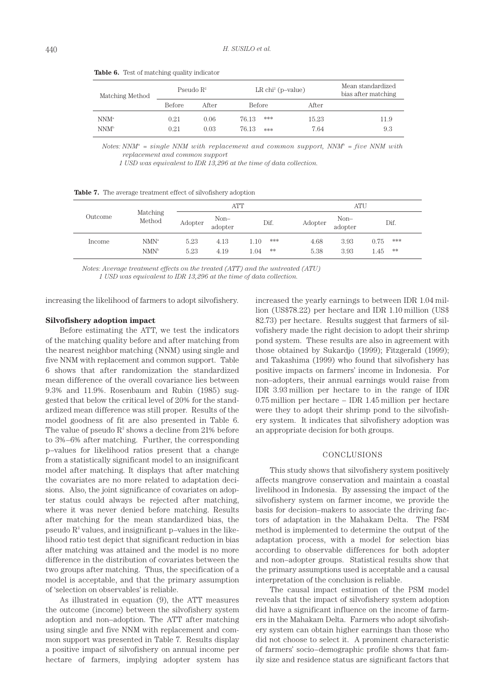| Matching Method                      | Pseudo $\mathbb{R}^2$ |              |                | $LR$ chi <sup>2</sup> (p-value) | Mean standardized<br>bias after matching |             |
|--------------------------------------|-----------------------|--------------|----------------|---------------------------------|------------------------------------------|-------------|
|                                      | <b>Before</b>         | After        | <b>Before</b>  |                                 | After                                    |             |
| NNM <sup>a</sup><br>NNM <sup>b</sup> | 0.21<br>0.21          | 0.06<br>0.03 | 76.13<br>76 13 | ***<br>***                      | 15.23<br>7.64                            | 11.9<br>9.3 |

**Table 6.** Test of matching quality indicator

Notes: NNM<sup>a</sup> = single NNM with replacement and common support, NNM<sup>b</sup> = five NNM with *replacement and common support*

 *1 USD was equivalent to IDR 13,296 at the time of data collection.*

**Table 7.** The average treatment effect of silvofishery adoption

| Outcome |                                      |              | <b>ATT</b>      |                           | <b>ATU</b>   |                 |                             |  |
|---------|--------------------------------------|--------------|-----------------|---------------------------|--------------|-----------------|-----------------------------|--|
|         | Matching<br>Method                   | Adopter      | Non-<br>adopter | Dif.                      | Adopter      | Non-<br>adopter | Dif.                        |  |
| Income  | NMN <sup>a</sup><br>NMN <sup>b</sup> | 5.23<br>5.23 | 4.13<br>4.19    | ***<br>1.10<br>**<br>1.04 | 4.68<br>5.38 | 3.93<br>3.93    | ***<br>0.75<br>$**$<br>1.45 |  |
|         |                                      |              |                 |                           |              |                 |                             |  |

*Notes: Average treatment effects on the treated (ATT) and the untreated (ATU) 1 USD was equivalent to IDR 13,296 at the time of data collection.*

increasing the likelihood of farmers to adopt silvofishery.

#### **Silvofishery adoption impact**

Before estimating the ATT, we test the indicators of the matching quality before and after matching from the nearest neighbor matching (NNM) using single and five NNM with replacement and common support. Table 6 shows that after randomization the standardized mean difference of the overall covariance lies between 9.3% and 11.9%. Rosenbaum and Rubin (1985) suggested that below the critical level of 20% for the standardized mean difference was still proper. Results of the model goodness of fit are also presented in Table 6. The value of pseudo  $R^2$  shows a decline from 21% before to 3%–6% after matching. Further, the corresponding p–values for likelihood ratios present that a change from a statistically significant model to an insignificant model after matching. It displays that after matching the covariates are no more related to adaptation decisions. Also, the joint significance of covariates on adopter status could always be rejected after matching, where it was never denied before matching. Results after matching for the mean standardized bias, the  $p$ seudo  $R<sup>2</sup>$  values, and insignificant  $p$ –values in the likelihood ratio test depict that significant reduction in bias after matching was attained and the model is no more difference in the distribution of covariates between the two groups after matching. Thus, the specification of a model is acceptable, and that the primary assumption of 'selection on observables' is reliable.

As illustrated in equation (9), the ATT measures the outcome (income) between the silvofishery system adoption and non–adoption. The ATT after matching using single and five NNM with replacement and common support was presented in Table 7. Results display a positive impact of silvofishery on annual income per hectare of farmers, implying adopter system has

increased the yearly earnings to between IDR 1.04 million (US\$78.22) per hectare and IDR 1.10 million (US\$ 82.73) per hectare. Results suggest that farmers of silvofishery made the right decision to adopt their shrimp pond system. These results are also in agreement with those obtained by Sukardjo (1999); Fitzgerald (1999); and Takashima (1999) who found that silvofishery has positive impacts on farmers' income in Indonesia. For non–adopters, their annual earnings would raise from IDR 3.93 million per hectare to in the range of IDR 0.75 million per hectare – IDR 1.45 million per hectare were they to adopt their shrimp pond to the silvofishery system. It indicates that silvofishery adoption was an appropriate decision for both groups.

#### CONCLUSIONS

This study shows that silvofishery system positively affects mangrove conservation and maintain a coastal livelihood in Indonesia. By assessing the impact of the silvofishery system on farmer income, we provide the basis for decision–makers to associate the driving factors of adaptation in the Mahakam Delta. The PSM method is implemented to determine the output of the adaptation process, with a model for selection bias according to observable differences for both adopter and non–adopter groups. Statistical results show that the primary assumptions used is acceptable and a causal interpretation of the conclusion is reliable.

The causal impact estimation of the PSM model reveals that the impact of silvofishery system adoption did have a significant influence on the income of farmers in the Mahakam Delta. Farmers who adopt silvofishery system can obtain higher earnings than those who did not choose to select it. A prominent characteristic of farmers' socio–demographic profile shows that family size and residence status are significant factors that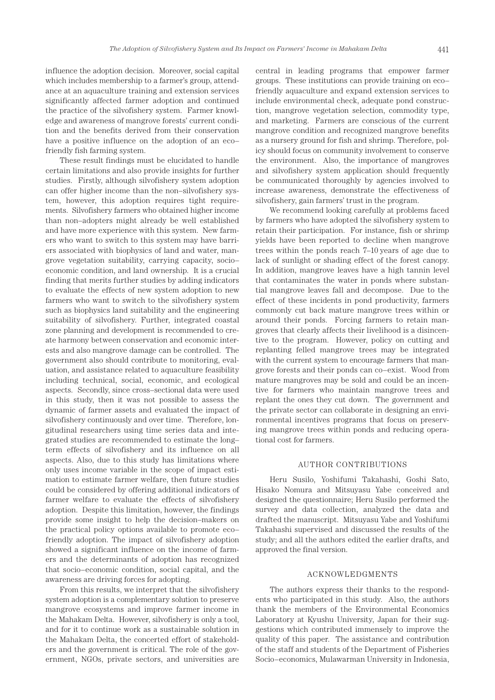influence the adoption decision. Moreover, social capital which includes membership to a farmer's group, attendance at an aquaculture training and extension services significantly affected farmer adoption and continued the practice of the silvofishery system. Farmer knowledge and awareness of mangrove forests' current condition and the benefits derived from their conservation have a positive influence on the adoption of an eco– friendly fish farming system.

These result findings must be elucidated to handle certain limitations and also provide insights for further studies. Firstly, although silvofishery system adoption can offer higher income than the non–silvofishery system, however, this adoption requires tight requirements. Silvofishery farmers who obtained higher income than non–adopters might already be well established and have more experience with this system. New farmers who want to switch to this system may have barriers associated with biophysics of land and water, mangrove vegetation suitability, carrying capacity, socio– economic condition, and land ownership. It is a crucial finding that merits further studies by adding indicators to evaluate the effects of new system adoption to new farmers who want to switch to the silvofishery system such as biophysics land suitability and the engineering suitability of silvofishery. Further, integrated coastal zone planning and development is recommended to create harmony between conservation and economic interests and also mangrove damage can be controlled. The government also should contribute to monitoring, evaluation, and assistance related to aquaculture feasibility including technical, social, economic, and ecological aspects. Secondly, since cross–sectional data were used in this study, then it was not possible to assess the dynamic of farmer assets and evaluated the impact of silvofishery continuously and over time. Therefore, longitudinal researchers using time series data and integrated studies are recommended to estimate the long– term effects of silvofishery and its influence on all aspects. Also, due to this study has limitations where only uses income variable in the scope of impact estimation to estimate farmer welfare, then future studies could be considered by offering additional indicators of farmer welfare to evaluate the effects of silvofishery adoption. Despite this limitation, however, the findings provide some insight to help the decision–makers on the practical policy options available to promote eco– friendly adoption. The impact of silvofishery adoption showed a significant influence on the income of farmers and the determinants of adoption has recognized that socio–economic condition, social capital, and the awareness are driving forces for adopting.

From this results, we interpret that the silvofishery system adoption is a complementary solution to preserve mangrove ecosystems and improve farmer income in the Mahakam Delta. However, silvofishery is only a tool, and for it to continue work as a sustainable solution in the Mahakam Delta, the concerted effort of stakeholders and the government is critical. The role of the government, NGOs, private sectors, and universities are central in leading programs that empower farmer groups. These institutions can provide training on eco– friendly aquaculture and expand extension services to include environmental check, adequate pond construction, mangrove vegetation selection, commodity type, and marketing. Farmers are conscious of the current mangrove condition and recognized mangrove benefits as a nursery ground for fish and shrimp. Therefore, policy should focus on community involvement to conserve the environment. Also, the importance of mangroves and silvofishery system application should frequently be communicated thoroughly by agencies involved to increase awareness, demonstrate the effectiveness of silvofishery, gain farmers' trust in the program.

We recommend looking carefully at problems faced by farmers who have adopted the silvofishery system to retain their participation. For instance, fish or shrimp yields have been reported to decline when mangrove trees within the ponds reach 7–10 years of age due to lack of sunlight or shading effect of the forest canopy. In addition, mangrove leaves have a high tannin level that contaminates the water in ponds where substantial mangrove leaves fall and decompose. Due to the effect of these incidents in pond productivity, farmers commonly cut back mature mangrove trees within or around their ponds. Forcing farmers to retain mangroves that clearly affects their livelihood is a disincentive to the program. However, policy on cutting and replanting felled mangrove trees may be integrated with the current system to encourage farmers that mangrove forests and their ponds can co–exist. Wood from mature mangroves may be sold and could be an incentive for farmers who maintain mangrove trees and replant the ones they cut down. The government and the private sector can collaborate in designing an environmental incentives programs that focus on preserving mangrove trees within ponds and reducing operational cost for farmers.

#### AUTHOR CONTRIBUTIONS

Heru Susilo, Yoshifumi Takahashi, Goshi Sato, Hisako Nomura and Mitsuyasu Yabe conceived and designed the questionnaire; Heru Susilo performed the survey and data collection, analyzed the data and drafted the manuscript. Mitsuyasu Yabe and Yoshifumi Takahashi supervised and discussed the results of the study; and all the authors edited the earlier drafts, and approved the final version.

#### ACKNOWLEDGMENTS

The authors express their thanks to the respondents who participated in this study. Also, the authors thank the members of the Environmental Economics Laboratory at Kyushu University, Japan for their suggestions which contributed immensely to improve the quality of this paper. The assistance and contribution of the staff and students of the Department of Fisheries Socio–economics, Mulawarman University in Indonesia,